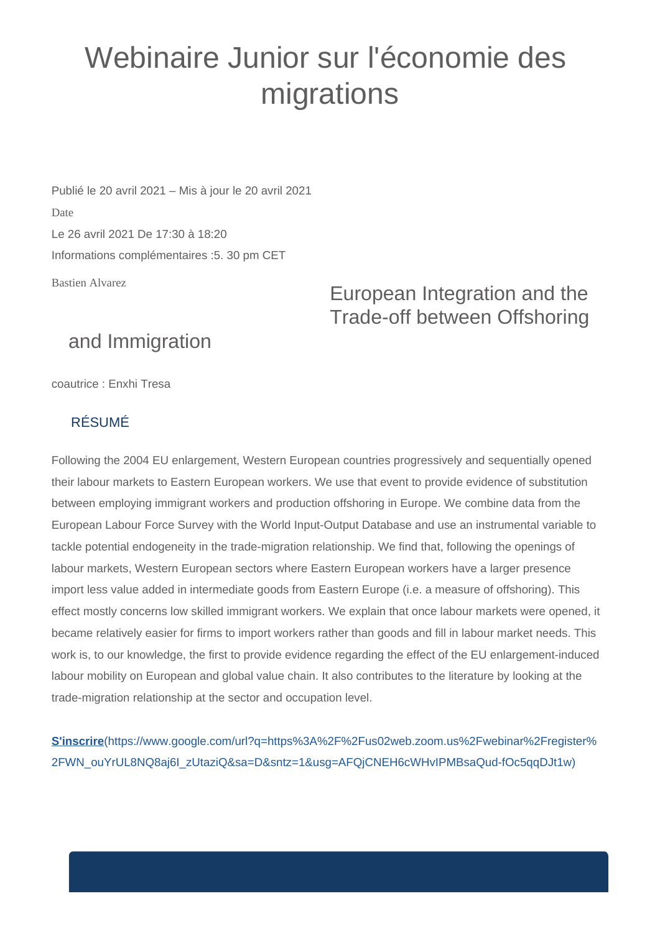## Webinaire Junior sur l'économie des migrations

Publié le 20 avril 2021 – Mis à jour le 20 avril 2021 Date Le 26 avril 2021 De 17:30 à 18:20 Informations complémentaires :5. 30 pm CET

Bastien Alvarez

## European Integration and the Trade-off between Offshoring

## and Immigration

coautrice : Enxhi Tresa

## RÉSUMÉ

Following the 2004 EU enlargement, Western European countries progressively and sequentially opened their labour markets to Eastern European workers. We use that event to provide evidence of substitution between employing immigrant workers and production offshoring in Europe. We combine data from the European Labour Force Survey with the World Input-Output Database and use an instrumental variable to tackle potential endogeneity in the trade-migration relationship. We find that, following the openings of labour markets, Western European sectors where Eastern European workers have a larger presence import less value added in intermediate goods from Eastern Europe (i.e. a measure of offshoring). This effect mostly concerns low skilled immigrant workers. We explain that once labour markets were opened, it became relatively easier for firms to import workers rather than goods and fill in labour market needs. This work is, to our knowledge, the first to provide evidence regarding the effect of the EU enlargement-induced labour mobility on European and global value chain. It also contributes to the literature by looking at the trade-migration relationship at the sector and occupation level.

**S'inscrire**[\(https://www.google.com/url?q=https%3A%2F%2Fus02web.zoom.us%2Fwebinar%2Fregister%](https://www.google.com/url?q=https%3A%2F%2Fus02web.zoom.us%2Fwebinar%2Fregister%2FWN_ouYrUL8NQ8aj6I_zUtaziQ&sa=D&sntz=1&usg=AFQjCNEH6cWHvIPMBsaQud-fOc5qqDJt1w) [2FWN\\_ouYrUL8NQ8aj6I\\_zUtaziQ&sa=D&sntz=1&usg=AFQjCNEH6cWHvIPMBsaQud-fOc5qqDJt1w\)](https://www.google.com/url?q=https%3A%2F%2Fus02web.zoom.us%2Fwebinar%2Fregister%2FWN_ouYrUL8NQ8aj6I_zUtaziQ&sa=D&sntz=1&usg=AFQjCNEH6cWHvIPMBsaQud-fOc5qqDJt1w)